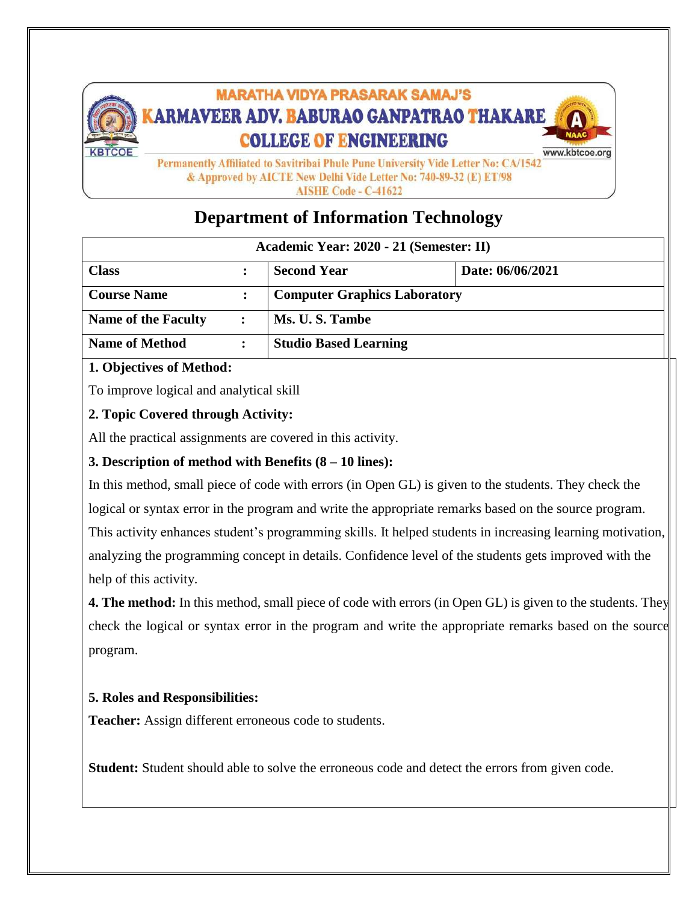

**AISHE Code - C-41622** 

# **Department of Information Technology**

| Academic Year: 2020 - 21 (Semester: II) |                |                                        |  |  |  |  |  |  |
|-----------------------------------------|----------------|----------------------------------------|--|--|--|--|--|--|
| <b>Class</b>                            |                | Date: 06/06/2021<br><b>Second Year</b> |  |  |  |  |  |  |
| <b>Course Name</b>                      |                | <b>Computer Graphics Laboratory</b>    |  |  |  |  |  |  |
| <b>Name of the Faculty</b>              | $\ddot{\cdot}$ | Ms. U.S. Tambe                         |  |  |  |  |  |  |
| <b>Name of Method</b>                   |                | <b>Studio Based Learning</b>           |  |  |  |  |  |  |

### **1. Objectives of Method:**

To improve logical and analytical skill

### **2. Topic Covered through Activity:**

All the practical assignments are covered in this activity.

### **3. Description of method with Benefits (8 – 10 lines):**

In this method, small piece of code with errors (in Open GL) is given to the students. They check the logical or syntax error in the program and write the appropriate remarks based on the source program. This activity enhances student's programming skills. It helped students in increasing learning motivation, analyzing the programming concept in details. Confidence level of the students gets improved with the help of this activity.

**4. The method:** In this method, small piece of code with errors (in Open GL) is given to the students. They check the logical or syntax error in the program and write the appropriate remarks based on the source program.

### **5. Roles and Responsibilities:**

**Teacher:** Assign different erroneous code to students.

**Student:** Student should able to solve the erroneous code and detect the errors from given code.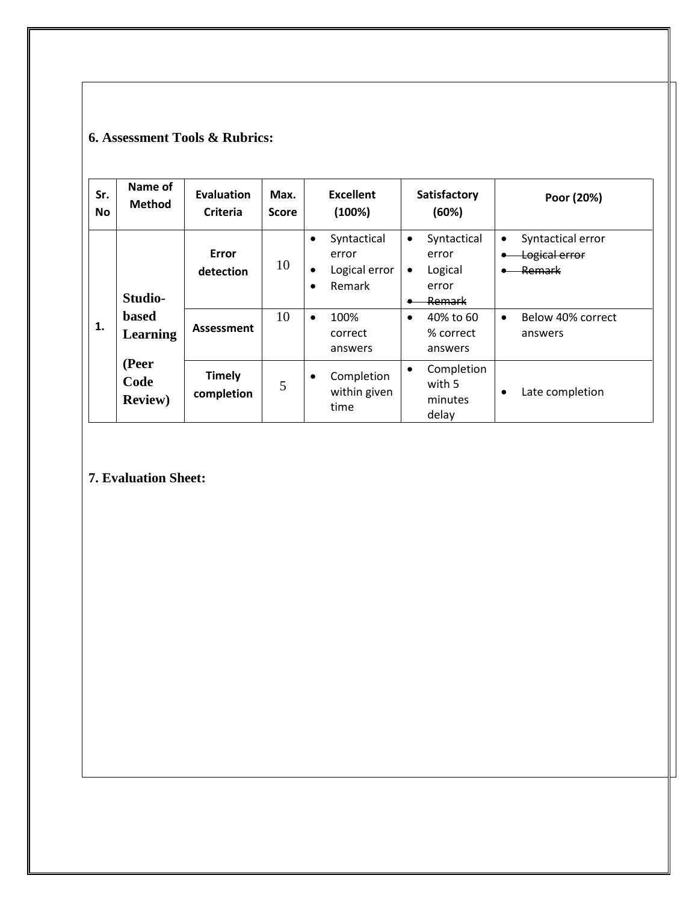### **6. Assessment Tools & Rubrics:**

| Sr.<br><b>No</b> | Name of<br><b>Method</b>         | <b>Evaluation</b><br><b>Criteria</b> | Max.<br><b>Score</b> | <b>Excellent</b><br>(100%)                                             | Satisfactory<br>(60%)                                                        | Poor (20%)                                   |
|------------------|----------------------------------|--------------------------------------|----------------------|------------------------------------------------------------------------|------------------------------------------------------------------------------|----------------------------------------------|
|                  | Studio-                          | <b>Error</b><br>detection            | 10                   | Syntactical<br>٠<br>error<br>Logical error<br>$\bullet$<br>Remark<br>٠ | Syntactical<br>$\bullet$<br>error<br>Logical<br>$\bullet$<br>error<br>Remark | Syntactical error<br>Logical error<br>Remark |
| 1.               | <b>based</b><br>Learning         | <b>Assessment</b>                    | 10                   | 100%<br>$\bullet$<br>correct<br>answers                                | 40% to 60<br>$\bullet$<br>% correct<br>answers                               | Below 40% correct<br>$\bullet$<br>answers    |
|                  | (Peer<br>Code<br><b>Review</b> ) | <b>Timely</b><br>completion          | 5                    | Completion<br>٠<br>within given<br>time                                | Completion<br>$\bullet$<br>with 5<br>minutes<br>delay                        | Late completion                              |

### **7. Evaluation Sheet:**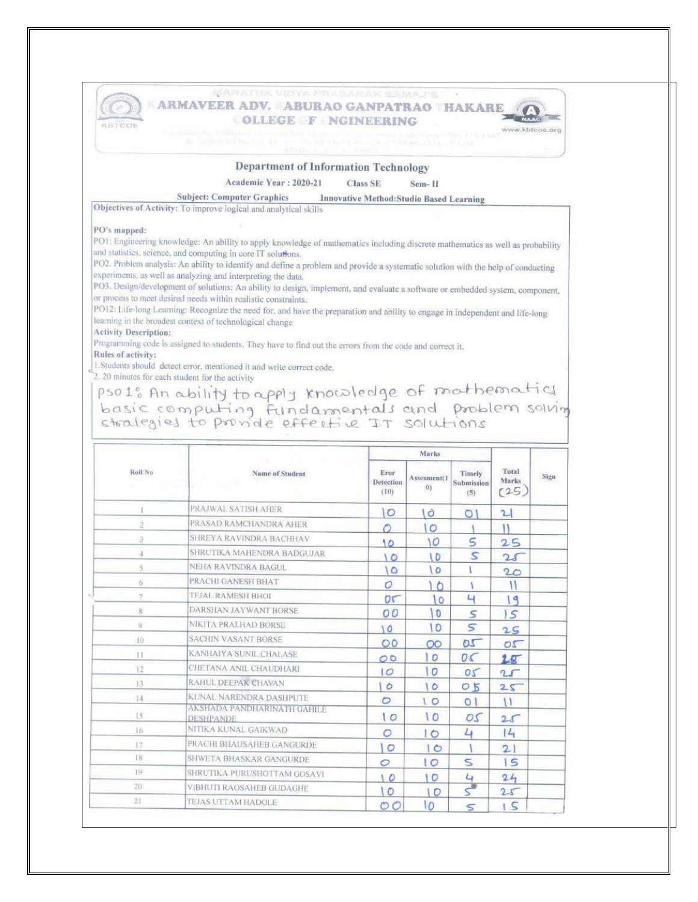

### MARATHA VIDYA PRASARAK BAMA PS ARMAVEER ADV. ABURAO GANPATRAO HAKARE

#### COLLEGE F NGINEERING



## **Department of Information Technology**

Academic Year: 2020-21 **Class SE** Sem-II

#### **Subject: Computer Graphics Innovative Method:Studio Based Learning**

Objectives of Activity: To improve logical and analytical skills

#### PO's mapped:

PO1: Engineering knowledge: An ability to apply knowledge of mathematics including discrete mathematics as well as probability and statistics, science, and computing in core IT solutions.

PO2. Problem analysis: An ability to identify and define a problem and provide a systematic solution with the help of conducting experiments, as well as analyzing and interpreting the data.

PO3. Design/development of solutions: An ability to design, implement, and evaluate a software or embedded system, component, or process to meet desired needs within realistic constraints.

PO12: Life-long Learning: Recognize the need for, and have the preparation and ability to engage in independent and life-long learning in the broadest context of technological change

#### **Activity Description:**

Programming code is assigned to students. They have to find out the errors from the code and correct it.

#### Rules of activity:

1. Students should detect error, mentioned it and write correct code.

2. 20 minutes for each student for the activity

pso1: An ability to apply knowledge of mothematics basic computing fundamentals and problem solving<br>strategies to provide effective IT solutions

| Roll No             |                                                 |                                  |                                   |                                    |                        |       |
|---------------------|-------------------------------------------------|----------------------------------|-----------------------------------|------------------------------------|------------------------|-------|
|                     | Name of Student                                 | Eror<br><b>Detection</b><br>(10) | Assesment(1)<br>$\left( 0\right)$ | Timely<br><b>Submission</b><br>(5) | Total<br>Marks<br>(25) | Sign. |
| 1                   | PRAJWAL SATISH AHER                             | $\circ$                          | $\circ$                           | $\circ$                            | 24                     |       |
| 涳                   | PRASAD RAMCHANDRA AHER                          | $\bigcap$                        | $\circ$                           |                                    | w                      |       |
| 3                   | SHREYA RAVINDRA BACHHAV                         | 10                               | $\overline{O}$                    | 5                                  | 25                     |       |
| 4                   | SHRUTIKA MAHENDRA BADGUJAR                      | 10                               | I D                               | $\mathsf{s}$                       | 25                     |       |
| $\overline{5}$      | NEHA RAVINDRA BAGUL                             | 10                               | 0                                 |                                    | 20                     |       |
| 6                   | PRACHI GANESH BHAT                              | $\circ$                          | $\circ$                           | v                                  | n                      |       |
| $\overline{\sigma}$ | TEJAL RAMESH BHOL                               | 0 <sup>0</sup>                   | $\circ$                           | $\overline{u}$                     | 19                     |       |
| 8                   | DARSHAN JAYWANT BORSE                           | 00                               | $\mathbf{0}$                      | S                                  | 5                      |       |
| 9                   | NIKITA PRALHAD BORSE                            | $\sqrt{0}$                       | $\mathcal{D}$                     | 5                                  | 2S                     |       |
| $+0$                | <b>SACHIN VASANT BORSE</b>                      | $\circ$                          | $\circ$                           | $\alpha$                           | $\sigma$               |       |
| 11                  | KANHAIYA SUNIL CHALASE                          | $\circ$                          | I D                               | OC                                 | 15                     |       |
| 12                  | CHETANA ANIL CHAUDHARI                          | $\overline{10}$                  | $\circ$                           | 05                                 | 25                     |       |
| 13                  | RAHUL DEEPAK CHAVAN                             | $\circ$                          | $\circ$                           | O <sub>5</sub>                     | 25                     |       |
| 14                  | KUNAL NARENDRA DASHPUTE                         | $\circ$                          | 10                                | $\circ$ 1                          | $\mathbf{U}$           |       |
| 15                  | AKSHADA PANDHARINATH GAHILE<br><b>DESHPANDE</b> | 10                               | 10                                | OS                                 | 25                     |       |
| 16                  | NITIKA KUNAL GAIKWAD                            | $\circ$                          | $\circ$                           | 4                                  | $\frac{1}{4}$          |       |
| 17                  | PRACHI BHAUSAHEB GANGURDE                       | $\circ$                          | $1\circ$                          |                                    | 21                     |       |
| 18                  | SHWETA BHASKAR GANGURDE                         | $\circ$                          | $\overline{C}$                    | S                                  | 15                     |       |
| 19                  | SHRUTIKA PURUSHOTTAM GOSAVI                     | $\overline{0}$                   | $\circ$                           | $\overline{L}$                     | 24                     |       |
| 20                  | VIBHUTI RAOSAHEB GUDAGHE                        | 10                               | 10                                | $\varsigma^*$                      | 25                     |       |
| 21                  | <b>TEJAS UTTAM HADOLE</b>                       | O <sub>O</sub>                   | 10                                | $\mathsf{s}$                       | 15                     |       |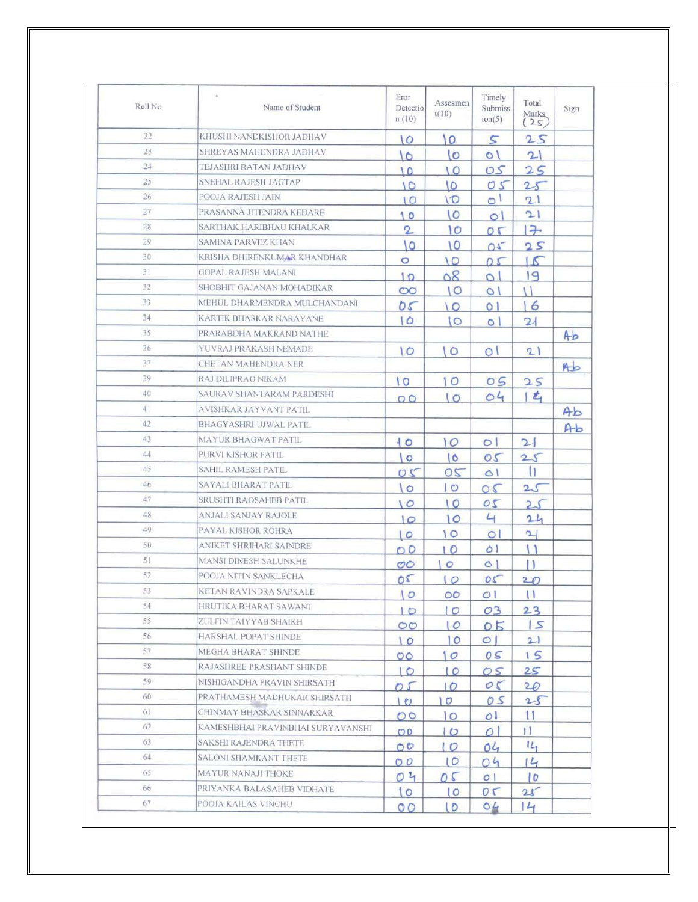| Roll No         | $\alpha$<br>Name of Student       | Eror<br>Detectio<br>n(10) | Assesmen<br>t(10) | Timely<br><b>Submiss</b><br>ion(5) | Total<br><b>Marks</b><br>(2s) | Sign |
|-----------------|-----------------------------------|---------------------------|-------------------|------------------------------------|-------------------------------|------|
| 22              | KHUSHI NANDKISHOR JADHAV          | $\overline{O}$            | $\circ$           | 5                                  | 25                            |      |
| 23              | SHREYAS MAHENDRA JADHAV           | 16                        | $\circ$           | $\circ$                            | 21                            |      |
| 24              | TEJASHRI RATAN JADHAV             | 10                        | $\overline{0}$    | OS                                 | 25                            |      |
| 25 <sub>1</sub> | SNEHAL RAJESH JAGTAP              | $\sqrt{2}$                | 10                | 05                                 | 25                            |      |
| 26              | POOJA RAJESH JAIN                 | $\overline{0}$            | $\sigma$          | $\circ$ <sup>1</sup>               | 21                            |      |
| 27              | PRASANNA JITENDRA KEDARE          | 10                        | lo                | $\circ$                            | 21                            |      |
| 28              | SARTHAK HARIBHAU KHALKAR          | 2                         | 10                | 05                                 | $\rightarrow$                 |      |
| 29              | SAMINA PARVEZ KHAN                | 10                        | 10                | $01^{7}$                           | 25                            |      |
| 30              | KRISHA DHIRENKUMAR KHANDHAR       | O                         | 10                | 05                                 | $\Delta$                      |      |
| 31              | GOPAL RAJESH MALANI               | 10                        | 08                | $\circ$                            | 19                            |      |
| 32              | SHOBHIT GAJANAN MOHADIKAR         | $\infty$                  | 10                | $\circ$                            | u                             |      |
| 33              | MEHUL DHARMENDRA MULCHANDANI      | 05                        | $\overline{O}$    | $\circ$ 1                          | 6                             |      |
| 34              | KARTIK BHASKAR NARAYANE           | $\circ$                   | $\circ$           | $\circ$                            | $\mathbf{z}$                  |      |
| 35              | PRARABDHA MAKRAND NATHE           |                           |                   |                                    |                               | Ab   |
| 36              | YUVRAJ PRAKASH NEMADE             | 10                        | $\circ$           | $\circ$                            | 21                            |      |
| 37              | CHETAN MAHENDRA NER               |                           |                   |                                    |                               | Ab   |
| 39              | RAJ DILIPRAO NIKAM                | 10                        | $\circ$           | 05                                 | 25                            |      |
| 40              | SAURAV SHANTARAM PARDESHI         | $O$ O                     | $\circ$           | 04                                 | $t_{1}$                       |      |
| 41              | AVISHKAR JAYVANT PATIL            |                           |                   |                                    |                               | Ab   |
| 42              | BHAGYASHRI UJWAL PATIL            |                           |                   |                                    |                               | Ab   |
| 43              | <b>MAYUR BHAGWAT PATIL</b>        | $\overline{0}$            | 10                | $\circ$                            | $\mathbf{L}$                  |      |
| 44              | PURVI KISHOR PATIL                | $\circ$                   | $\overline{6}$    | 05                                 | 25                            |      |
| 45              | SAHIL RAMESH PATIL                | 20                        | 05                | $\circ$                            | U                             |      |
| 46              | SAYALI BHARAT PATIL               | $\circ$                   | $\circ$           | 05                                 | 25                            |      |
| 47              | SRUSHTI RAOSAHEB PATIL            | $\overline{O}$            | I O               | 05                                 | 25                            |      |
| 48              | <b>ANJALI SANJAY RAJOLE</b>       | $\overline{10}$           | $\overline{10}$   | $\overline{4}$                     | 24                            |      |
| 49              | PAYAL KISHOR ROHRA                | $\overline{10}$           | $\overline{O}$    | $\circ$                            | $\sim$                        |      |
| 50              | ANIKET SHRIHARI SAINDRE           | O <sup>O</sup>            | 10                | $\circ$                            | $\mathbf{U}$                  |      |
| 51              | MANSI DINESH SALUNKHE             | $\overline{\mathcal{O}}$  | $\circ$           | $\circ$                            | п                             |      |
| 52              | POOJA NITIN SANKLECHA             | 20                        | $\overline{O}$    | 20                                 |                               |      |
| 53              | KETAN RAVINDRA SAPKALE            | 10                        | $\circ \circ$     | O <sub>1</sub>                     | 20<br>$\mathbf{U}$            |      |
| 54              | HRUTIKA BHARAT SAWANT             |                           | $\overline{O}$    | O <sub>3</sub>                     | 23                            |      |
| 55              | ZULFIN TAIYYAB SHAIKH             | $\overline{6}$<br>$\circ$ | $\overline{O}$    | 05                                 | 5                             |      |
| 56              | HARSHAL POPAT SHINDE              | $\overline{0}$            | $\overline{0}$    | $\circ$                            | 21                            |      |
| 57              | MEGHA BHARAT SHINDE               | $\circ$                   | $\circ$           | 05                                 | 15                            |      |
| 58              | RAJASHREE PRASHANT SHINDE         | 10                        | 10                | O S                                | 25                            |      |
| 59              | NISHIGANDHA PRAVIN SHIRSATH       | 05                        | 10                | $\sigma$                           | 20                            |      |
| 60              | PRATHAMESH MADHUKAR SHIRSATH      | 10                        | 10                | OS                                 | 25                            |      |
| 61              | CHINMAY BHASKAR SINNARKAR         | $\circ$                   | $\circ$           | $\circ$                            | u                             |      |
| 62              | KAMESHBHAI PRAVINBHAI SURYAVANSHI |                           |                   | $\circ$                            | $\blacksquare$                |      |
| 63              | SAKSHI RAJENDRA THETE             | O <sub>O</sub>            | $\overline{6}$    |                                    | $L_1$                         |      |
| 64              | SALONI SHAMKANT THETE             | O <sup>o</sup>            | $\overline{0}$    | 04                                 |                               |      |
| 65              | MAYUR NANAJI THOKE                | O <sub>O</sub>            | $\overline{C}$    | 04                                 | 14                            |      |
| 66              | PRIYANKA BALASAHEB VIDHATE        | O <sup>2</sup>            | 05                | $\circ$                            | $ 0\rangle$                   |      |
|                 |                                   | 10                        | $\overline{0}$    | 0 <sub>c</sub>                     | 21                            |      |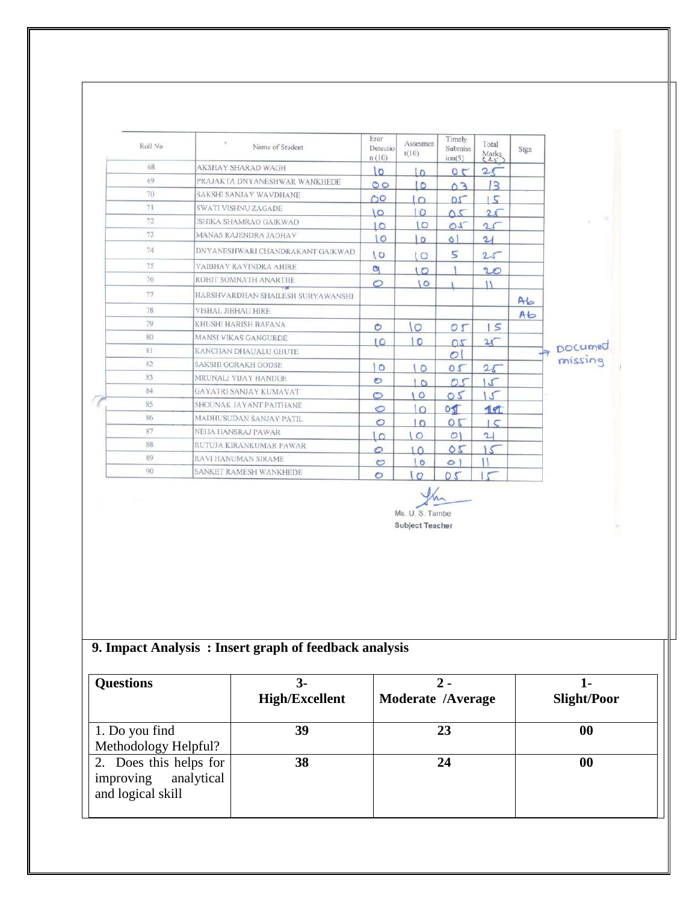| Roll No | 8<br>Name of Student              | Eror<br>Detectio<br>n(10) | Assesmen<br>t(10) | Timely<br><b>Submiss</b><br>ion(5) | Total<br>Marks<br>25 | Sign |         |
|---------|-----------------------------------|---------------------------|-------------------|------------------------------------|----------------------|------|---------|
| 68      | <b>AKSHAY SHARAD WAGH</b>         | $\overline{10}$           | $\overline{0}$    | 0 <sup>2</sup>                     | 2(                   |      |         |
| 69      | PRAJAKTA DNYANESHWAR WANKHEDE     | $\circ$                   | $\circ$           | 03                                 | $\overline{3}$       |      |         |
| 70      | SAKSHI SANJAY WAVDHANE            | ం                         | $\Omega$          | 20                                 | ١Ç                   |      |         |
| 71      | SWATI VISHNU ZAGADE               | $\overline{O}$            | $\circ$           | 20                                 | 2 <sup>1</sup>       |      |         |
| 72      | ISHIKA SHAMRAO GAIKWAD            | $\circ$                   | $\circ$           | O1                                 | 25                   |      | n.      |
| 73      | <b>MANAS RAJENDRA JADHAV</b>      | $\circ$                   | $\circ$           | $\circ$ 1                          | 21                   |      |         |
| 74      | DNYANESHWARI CHANDRAKANT GAIKWAD  | $\overline{O}$            | $\circ$           | 5                                  | 25                   |      |         |
| 75      | VAIBHAV RAVINDRA AHIRE            | $\mathbf{C}$              | $\overline{O}$    |                                    | 20                   |      |         |
| 76      | ROHIT SOMNATH ANARTHE             | $\circ$                   | $\circ$           |                                    | $\mathbf{U}$         |      |         |
| 77      | HARSHVARDHAN SHAILESH SURYAWANSHI |                           |                   |                                    |                      | Ab   |         |
| 78      | <b>VISHAL JIBHAU HIRE</b>         |                           |                   |                                    |                      | Ab   |         |
| 79      | KHUSHI HARISH BAFANA              | $\circ$                   | $\circ$           | 05                                 | 1 S                  |      |         |
| 80      | <b>MANSI VIKAS GANGURDE</b>       | $\overline{10}$           | $\mathbf{D}$      | 20                                 | 25                   |      |         |
| 81      | KANCHAN DHAUALU GHUTE             |                           |                   | $\circ$                            |                      |      | pocumed |
| 82      | <b>SAKSHI GORAKH GODSE</b>        | 10                        | $\circ$           | 05                                 | 25                   |      |         |
| 83      | MRUNALI VIJAY HANDGE              | $\bullet$                 | 10                | DS                                 | $\sqrt{2}$           |      |         |
| 84      | <b>GAYATRI SANJAY KUMAVAT</b>     | $\circ$                   | $\circ$           | 05                                 | $\sqrt{ }$           |      |         |
| 85      | SHOUNAK JAYANT PAITHANE           | $\circ$                   | $\circ$           | 05                                 | 19                   |      |         |
| 86      | MADHUSUDAN SANJAY PATIL           | $\circ$                   | $\circ$           | 05                                 | $\overline{C}$       |      |         |
| 87      | <b>NEHA HANSRAJ PAWAR</b>         | $1\circ$                  | $\circ$           | O <sub>1</sub>                     | $\mathbf{L}$         |      |         |
| 88      | RUTUJA KIRANKUMAR PAWAR           | $\circ$                   | $\overline{0}$    | 05                                 |                      |      |         |
| 89      | RAVI HANUMAN SIRAME               | $\circ$                   | $\circ$           | $\circ$                            | $\mathbf{u}$         |      |         |
| 90      | SANKET RAMESH WANKHEDE            | $\circ$                   | $\circ$           | 05                                 | $\subset$            |      |         |

the Ms. U. S. Tambe Subject Teacher

# **9. Impact Analysis : Insert graph of feedback analysis**

| <b>Questions</b>                                                       | 3-                    | $2-$              |             |  |  |
|------------------------------------------------------------------------|-----------------------|-------------------|-------------|--|--|
|                                                                        | <b>High/Excellent</b> | Moderate /Average | Slight/Poor |  |  |
| 1. Do you find                                                         | 39                    | 23                | 00          |  |  |
| Methodology Helpful?                                                   |                       |                   |             |  |  |
| 2. Does this helps for<br>analytical<br>improving<br>and logical skill | 38                    | 24                | 00          |  |  |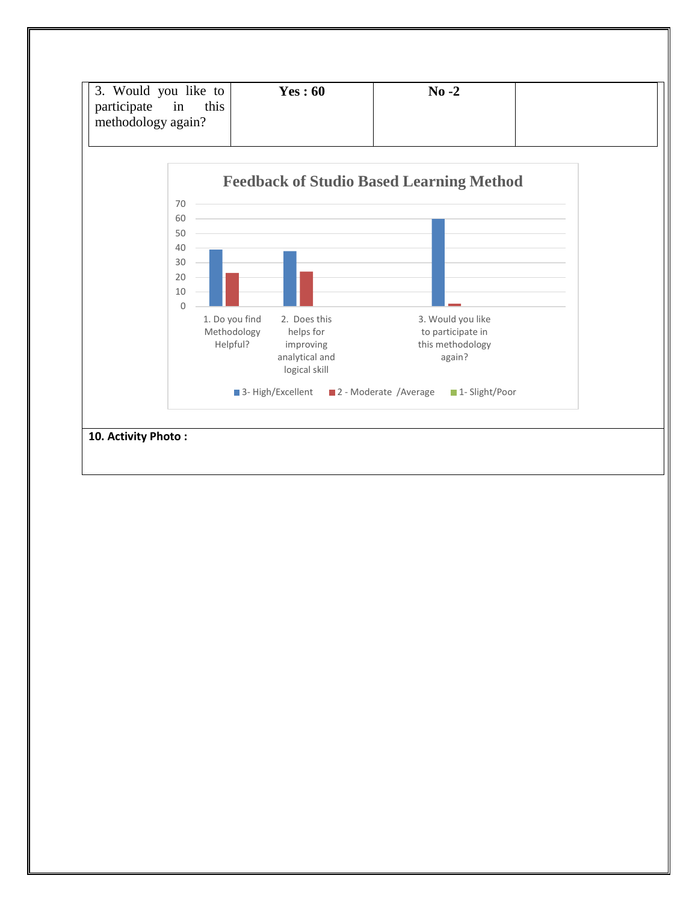